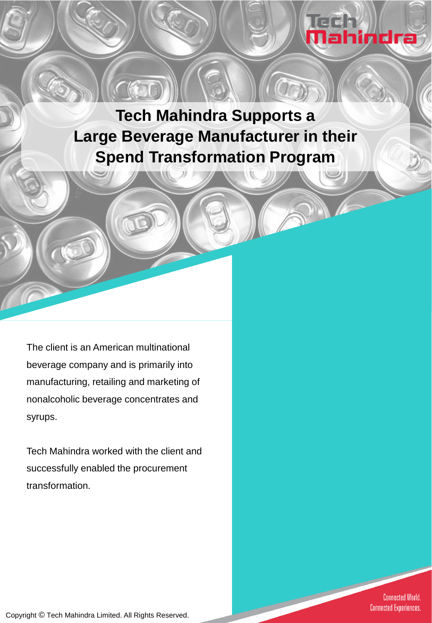

**Tech Mahindra Supports a Large Beverage Manufacturer in their Spend Transformation Program**

The client is an American multinational beverage company and is primarily into manufacturing, retailing and marketing of nonalcoholic beverage concentrates and syrups.

Tech Mahindra worked with the client and successfully enabled the procurement transformation.

> **Connected World. Connected Experiences.**

Copyright © Tech Mahindra Limited. All Rights Reserved.